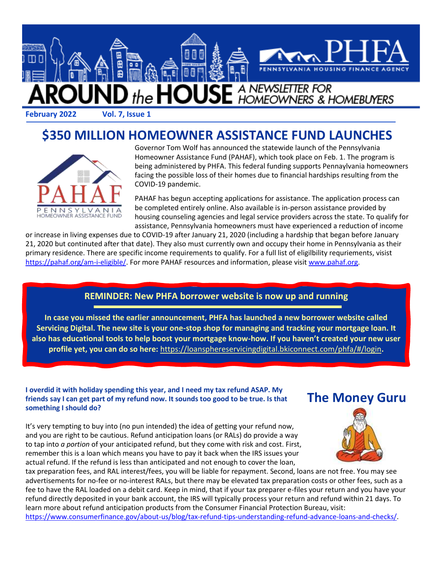

### **\$350 MILLION HOMEOWNER ASSISTANCE FUND LAUNCHES**



Governor Tom Wolf has announced the statewide launch of the Pennsylvania Homeowner Assistance Fund (PAHAF), which took place on Feb. 1. The program is being administered by PHFA. This federal funding supports Pennaylvania homeowners facing the possible loss of their homes due to financial hardships resulting from the COVID-19 pandemic.

PAHAF has begun accepting applications for assistance. The application process can be completed entirely online. Also available is in-person assistance provided by housing counseling agencies and legal service providers across the state. To qualify for assistance, Pennsylvania homeowners must have experienced a reduction of income

or increase in living expenses due to COVID-19 after January 21, 2020 (including a hardship that began before January 21, 2020 but continuted after that date). They also must currently own and occupy their home in Pennsylvania as their primary residence. There are specific income requirements to qualify. For a full list of eligilbility requriements, visist [https://pahaf.org/am-i-eligible/.](https://pahaf.org/am-i-eligible/) For more PAHAF resources and information, please visi[t www.pahaf.org.](http://www.pahaf.org/)

#### **REMINDER: New PHFA borrower website is now up and running**

**In case you missed the earlier announcement, PHFA has launched a new borrower website called Servicing Digital. The new site is your one-stop shop for managing and tracking your mortgage loan. It also has educational tools to help boost your mortgage know-how. If you haven't created your new user profile yet, you can do so here:** <https://loansphereservicingdigital.bkiconnect.com/phfa/#/login>**.** 

#### **I overdid it with holiday spending this year, and I need my tax refund ASAP. My friends say I can get part of my refund now. It sounds too good to be true. Is that something I should do?**

It's very tempting to buy into (no pun intended) the idea of getting your refund now, and you are right to be cautious. Refund anticipation loans (or RALs) do provide a way to tap into *a portion* of your anticipated refund, but they come with risk and cost. First, remember this is a loan which means you have to pay it back when the IRS issues your actual refund. If the refund is less than anticipated and not enough to cover the loan,

**The Money Guru**



tax preparation fees, and RAL interest/fees, you will be liable for repayment. Second, loans are not free. You may see advertisements for no-fee or no-interest RALs, but there may be elevated tax preparation costs or other fees, such as a fee to have the RAL loaded on a debit card. Keep in mind, that if your tax preparer e-files your return and you have your refund directly deposited in your bank account, the IRS will typically process your return and refund within 21 days. To learn more about refund anticipation products from the Consumer Financial Protection Bureau, visit: [https://www.consumerfinance.gov/about-us/blog/tax-refund-tips-understanding-refund-advance-loans-and-checks/.](https://www.consumerfinance.gov/about-us/blog/tax-refund-tips-understanding-refund-advance-loans-and-checks/)